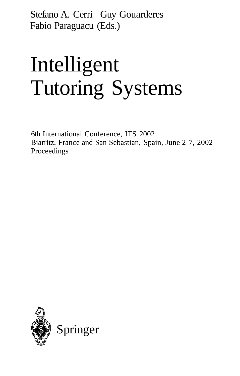Stefano A. Cerri Guy Gouarderes Fabio Paraguacu (Eds.)

# Intelligent Tutoring Systems

6th International Conference, ITS 2002 Biarritz, France and San Sebastian, Spain, June 2-7, 2002 Proceedings

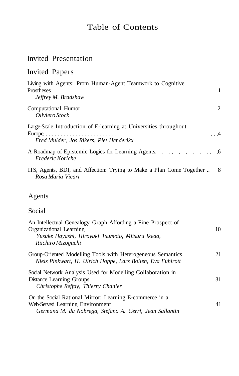## Table of Contents

## Invited Presentation

# Invited Papers

| Living with Agents: Prom Human-Agent Teamwork to Cognitive                                                                                                                                                                                       |  |
|--------------------------------------------------------------------------------------------------------------------------------------------------------------------------------------------------------------------------------------------------|--|
| Jeffrey M. Bradshaw                                                                                                                                                                                                                              |  |
| Computational Humor entertainment is a series of the series of the series of the contract of the contract of the series of the series of the series of the series of the series of the series of the series of the series of t<br>Oliviero Stock |  |
| Large-Scale Introduction of E-learning at Universities throughout                                                                                                                                                                                |  |
| Fred Mulder, Jos Rikers, Piet Henderikx                                                                                                                                                                                                          |  |
| Frederic Koriche                                                                                                                                                                                                                                 |  |
| ITS, Agents, BDI, and Affection: Trying to Make a Plan Come Together  8<br>Rosa Maria Vicari                                                                                                                                                     |  |

#### Agents

#### Social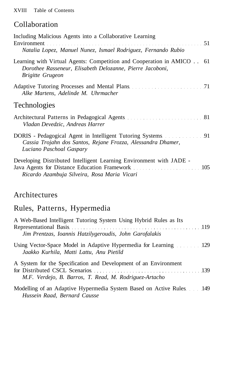#### Collaboration

| Including Malicious Agents into a Collaborative Learning<br>Natalia Lopez, Manuel Nunez, Ismael Rodriguez, Fernando Rubio                                     |
|---------------------------------------------------------------------------------------------------------------------------------------------------------------|
| Learning with Virtual Agents: Competition and Cooperation in AMICO 61<br>Dorothee Rasseneur, Elisabeth Delozanne, Pierre Jacoboni,<br><b>Brigitte Grugeon</b> |
| Alke Martens, Adelinde M. Uhrmacher                                                                                                                           |
| <b>Technologies</b>                                                                                                                                           |
| Vladan Devedzic, Andreas Harrer                                                                                                                               |
| Cassia Trojahn dos Santos, Rejane Frozza, Alessandra Dhamer,<br>Luciano Paschoal Gaspary                                                                      |
| Developing Distributed Intelligent Learning Environment with JADE -<br>Ricardo Azambuja Silveira, Rosa Maria Vicari                                           |

#### Architectures

# Rules, Patterns, Hypermedia

| A Web-Based Intelligent Tutoring System Using Hybrid Rules as Its<br>Representational Basis entertainment and the settlement of the settlement of the settlement of the settlement of the settlement of the settlement of the settlement of the settlement of the settlement of the settlement of t |  |
|-----------------------------------------------------------------------------------------------------------------------------------------------------------------------------------------------------------------------------------------------------------------------------------------------------|--|
| Jim Prentzas, Ioannis Hatzilygeroudis, John Garofalakis                                                                                                                                                                                                                                             |  |
| Using Vector-Space Model in Adaptive Hypermedia for Learning 129<br>Jaakko Kurhila, Matti Lattu, Anu Pietild                                                                                                                                                                                        |  |
| A System for the Specification and Development of an Environment<br>for Distributed CSCL Scenarios expansion of the state of the state of the state of the state of the state of the state of the state of the state of the state of the state of the state of the state of the state of the state  |  |
| M.F. Verdejo, B. Barros, T. Read, M. Rodriguez-Artacho                                                                                                                                                                                                                                              |  |
| Modelling of an Adaptive Hypermedia System Based on Active Rules 149<br>Hussein Raad, Bernard Causse                                                                                                                                                                                                |  |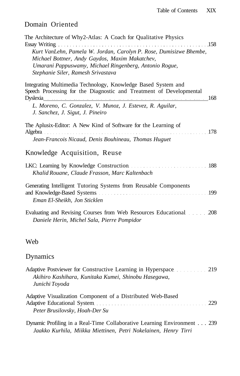#### Domain Oriented

| The Architecture of Why2-Atlas: A Coach for Qualitative Physics<br>. 158                                                                                                                                             |  |
|----------------------------------------------------------------------------------------------------------------------------------------------------------------------------------------------------------------------|--|
| Kurt VanLehn, Pamela W. Jordan, Carolyn P. Rose, Dumisizwe Bhembe,<br>Michael Bottner, Andy Gaydos, Maxim Makatchev,<br>Umarani Pappuswamy, Michael Ringenberg, Antonio Rogue,<br>Stephanie Siler, Ramesh Srivastava |  |
| Integrating Multimedia Technology, Knowledge Based System and<br>Speech Processing for the Diagnostic and Treatment of Developmental<br>Dyslexia 168                                                                 |  |
| L. Moreno, C. Gonzalez, V. Munoz, J. Estevez, R. Aguilar,<br>J. Sanchez, J. Sigut, J. Pineiro                                                                                                                        |  |
| The Aplusix-Editor: A New Kind of Software for the Learning of                                                                                                                                                       |  |
| Jean-Francois Nicaud, Denis Bouhineau, Thomas Huguet                                                                                                                                                                 |  |
| Knowledge Acquisition, Reuse                                                                                                                                                                                         |  |
| Khalid Rouane, Claude Frasson, Marc Kaltenbach                                                                                                                                                                       |  |
| Generating Intelligent Tutoring Systems from Reusable Components<br>Eman El-Sheikh, Jon Sticklen                                                                                                                     |  |
| Evaluating and Revising Courses from Web Resources Educational. 208<br>Daniele Herin, Michel Sala, Pierre Pompidor                                                                                                   |  |
| Web                                                                                                                                                                                                                  |  |
| Dynamics                                                                                                                                                                                                             |  |
| Adaptive Postviewer for Constructive Learning in Hyperspace 219<br>Akihiro Kashihara, Kunitaka Kumei, Shinobu Hasegawa,<br>Junichi Toyoda                                                                            |  |
| Adopting Warrell ration Companient of a Distributed Web Deard                                                                                                                                                        |  |

Adaptive Visualization Component of a Distributed Web-Based Adaptive Educational System 229 *Peter Brusilovsky, Hoah-Der Su*

Dynamic Profiling in a Real-Time Collaborative Learning Environment . . . 239 *Jaakko Kurhila, Miikka Miettinen, Petri Nokelainen, Henry Tirri*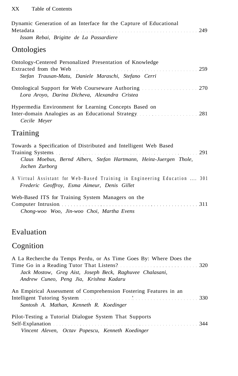| Dynamic Generation of an Interface for the Capture of Educational<br>Metadata 249<br>Issam Rebai, Brigitte de La Passardiere                            |
|---------------------------------------------------------------------------------------------------------------------------------------------------------|
| Ontologies                                                                                                                                              |
| Ontology-Centered Personalized Presentation of Knowledge<br>Stefan Trausan-Matu, Daniele Maraschi, Stefano Cerri                                        |
| Lora Aroyo, Darina Dicheva, Alexandra Cristea                                                                                                           |
| Hypermedia Environment for Learning Concepts Based on<br>Cecile Meyer                                                                                   |
| Training                                                                                                                                                |
| Towards a Specification of Distributed and Intelligent Web Based<br>Claus Moebus, Bernd Albers, Stefan Hartmann, Heinz-Juergen Thole,<br>Jochen Zurborg |
| A Virtual Assistant for Web-Based Training in Engineering Education  301<br>Frederic Geoffroy, Esma Aimeur, Denis Gillet                                |

| Web-Based ITS for Training System Managers on the |  |
|---------------------------------------------------|--|
| Computer Intrusion 311                            |  |
| Chong-woo Woo, Jin-woo Choi, Martha Evens         |  |

## Evaluation

# Cognition

| A La Recherche du Temps Perdu, or As Time Goes By: Where Does the |
|-------------------------------------------------------------------|
|                                                                   |
| Jack Mostow, Greg Aist, Joseph Beck, Raghuvee Chalasani,          |
| Andrew Cuneo, Peng Jia, Krishna Kadaru                            |
|                                                                   |
| An Empirical Assessment of Comprehension Fostering Features in an |
|                                                                   |
| Santosh A. Mathan, Kenneth R. Koedinger                           |
|                                                                   |
| Pilot-Testing a Tutorial Dialogue System That Supports            |
|                                                                   |
| Vincent Aleven, Octav Popescu, Kenneth Koedinger                  |
|                                                                   |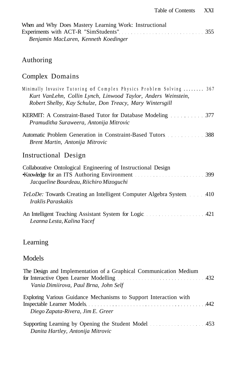| When and Why Does Mastery Learning Work: Instructional |  |
|--------------------------------------------------------|--|
| Experiments with ACT-R "SimStudents" Martin March 255  |  |
| Benjamin MacLaren, Kenneth Koedinger                   |  |

#### Authoring

# Complex Domains

#### Learning

#### Models

| The Design and Implementation of a Graphical Communication Medium<br>Vania Dimiirova, Paul Brna, John Self |  |
|------------------------------------------------------------------------------------------------------------|--|
| Exploring Various Guidance Mechanisms to Support Interaction with<br>Diego Zapata-Rivera, Jim E. Greer     |  |
| Supporting Learning by Opening the Student Model<br>Danita Hartley, Antonija Mitrovic                      |  |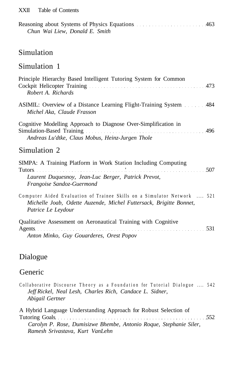| Reasoning about Systems of Physics Equations manufacturers and 463 |  |
|--------------------------------------------------------------------|--|
| Chun Wai Liew, Donald E. Smith                                     |  |

#### Simulation

#### Simulation 1

| Principle Hierarchy Based Intelligent Tutoring System for Common<br>Robert A. Richards                                                                              |
|---------------------------------------------------------------------------------------------------------------------------------------------------------------------|
| Michel Aka, Claude Frasson                                                                                                                                          |
| Cognitive Modelling Approach to Diagnose Over-Simplification in<br>Andreas Lu'dtke, Claus Mobus, Heinz-Jurgen Thole                                                 |
| Simulation 2                                                                                                                                                        |
| SIMPA: A Training Platform in Work Station Including Computing<br>Laurent Duquesnoy, Jean-Luc Berger, Patrick Prevot,<br>Frangoise Sandoz-Guermond                  |
| Computer Aided Evaluation of Trainee Skills on a Simulator Network  521<br>Michelle Joab, Odette Auzende, Michel Futtersack, Brigitte Bonnet,<br>Patrice Le Leydour |
| Qualitative Assessment on Aeronautical Training with Cognitive<br>Anton Minko, Guy Gouarderes, Orest Popov                                                          |

#### Dialogue

#### Generic

|                 |  | Collaborative Discourse Theory as a Foundation for Tutorial Dialogue  542 |  |  |  |
|-----------------|--|---------------------------------------------------------------------------|--|--|--|
|                 |  | Jeff Rickel, Neal Lesh, Charles Rich, Candace L. Sidner,                  |  |  |  |
| Abigail Gertner |  |                                                                           |  |  |  |

A Hybrid Language Understanding Approach for Robust Selection of Tutoring Goals 552 *Carolyn P. Rose, Dumisizwe Bhembe, Antonio Roque, Stephanie Siler, Ramesh Srivastava, Kurt VanLehn*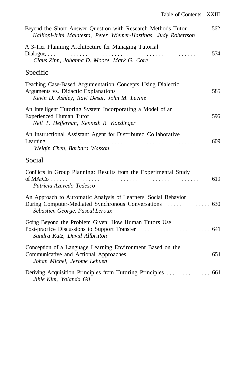| Beyond the Short Answer Question with Research Methods Tutor 562<br>Kalliopi-Irini Malatesta, Peter Wiemer-Hastings, Judy Robertson                         |  |
|-------------------------------------------------------------------------------------------------------------------------------------------------------------|--|
| A 3-Tier Planning Architecture for Managing Tutorial<br>Dialogue 574<br>Claus Zinn, Johanna D. Moore, Mark G. Core                                          |  |
| Specific                                                                                                                                                    |  |
| Teaching Case-Based Argumentation Concepts Using Dialectic<br>Kevin D. Ashley, Ravi Desai, John M. Levine                                                   |  |
| An Intelligent Tutoring System Incorporating a Model of an<br>Experienced Human Tutor<br>1996<br>Neil T. Heffernan, Kenneth R. Koedinger                    |  |
| An Instructional Assistant Agent for Distributed Collaborative<br>Weiqin Chen, Barbara Wasson                                                               |  |
| Social                                                                                                                                                      |  |
| Conflicts in Group Planning: Results from the Experimental Study<br>Patricia Azevedo Tedesco                                                                |  |
| An Approach to Automatic Analysis of Learners' Social Behavior<br>During Computer-Mediated Synchronous Conversations 630<br>Sebastien George, Pascal Leroux |  |
| Going Beyond the Problem Given: How Human Tutors Use<br>Post-practice Discussions to Support Transfer.<br>Sandra Katz, David Allbritton                     |  |
| Conception of a Language Learning Environment Based on the<br>Communicative and Actional Approaches (1996) 651<br>Johan Michel, Jerome Lehuen               |  |
| Deriving Acquisition Principles from Tutoring Principles 661<br>Jihie Kim, Yolanda Gil                                                                      |  |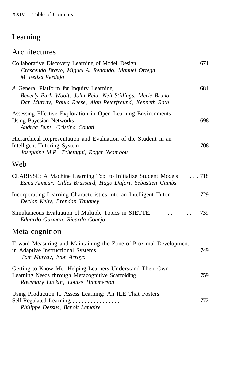## Learning

## Architectures

| Crescendo Bravo, Miguel A. Redondo, Manuel Ortega,<br>M. Felisa Verdejo                                                                                                                                                                                                                                                         |
|---------------------------------------------------------------------------------------------------------------------------------------------------------------------------------------------------------------------------------------------------------------------------------------------------------------------------------|
| A General Platform for Inquiry Learning (1996) 681<br>Beverly Park Woolf, John Reid, Neil Stillings, Merle Bruno,<br>Dan Murray, Paula Reese, Alan Peterfreund, Kenneth Rath                                                                                                                                                    |
| Assessing Effective Exploration in Open Learning Environments<br>Using Bayesian Networks (European Community of the Second Library of Second Library of Second Library of Second Library of Second Library of Second Library of Second Library of Second Library of Second Library of Second Li<br>Andrea Bunt, Cristina Conati |
| Hierarchical Representation and Evaluation of the Student in an<br>Josephine M.P. Tchetagni, Roger Nkambou                                                                                                                                                                                                                      |
| Web                                                                                                                                                                                                                                                                                                                             |
| CLARISSE: A Machine Learning Tool to Initialize Student Models _____. 718<br>Esma Aimeur, Gilles Brassard, Hugo Dufort, Sebastien Gambs                                                                                                                                                                                         |
| Declan Kelly, Brendan Tangney                                                                                                                                                                                                                                                                                                   |
| Eduardo Guzman, Ricardo Conejo                                                                                                                                                                                                                                                                                                  |
| Meta-cognition                                                                                                                                                                                                                                                                                                                  |
| Toward Measuring and Maintaining the Zone of Proximal Development<br>in Adaptive Instructional Systems (1994) and the Material Material Material Material Material Material Materia<br>Tom Murray, Ivon Arroyo                                                                                                                  |
| Getting to Know Me: Helping Learners Understand Their Own<br>Rosemary Luckin, Louise Hammerton                                                                                                                                                                                                                                  |
| Using Production to Assess Learning: An ILE That Fosters<br>Self-Regulated Learning expansion of the contract of the Regulated Learning expansion of the contract of the contract of the contract of the contract of the contract of the contract of the contract of the contract of the c<br>Philippe Dessus, Benoit Lemaire   |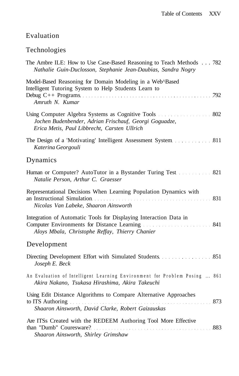#### Evaluation

# Technologies

| The Ambre ILE: How to Use Case-Based Reasoning to Teach Methods 782<br>Nathalie Guin-Duclosson, Stephanie Jean-Daubias, Sandra Nogry                                                                                                                                                                                                        |
|---------------------------------------------------------------------------------------------------------------------------------------------------------------------------------------------------------------------------------------------------------------------------------------------------------------------------------------------|
| Model-Based Reasoning for Domain Modeling in a Web^Based<br>Intelligent Tutoring System to Help Students Learn to<br>Amruth N. Kumar                                                                                                                                                                                                        |
| Jochen Budenbender, Adrian Frischauf, Georgi Goguadze,<br>Erica Metis, Paul Libbrecht, Carsten Ullrich                                                                                                                                                                                                                                      |
| The Design of a 'Motivating' Intelligent Assessment System 311<br>Katerina Georgouli                                                                                                                                                                                                                                                        |
| Dynamics                                                                                                                                                                                                                                                                                                                                    |
| Human or Computer? AutoTutor in a Bystander Turing Test 821<br>Natalie Person, Arthur C. Graesser                                                                                                                                                                                                                                           |
| Representational Decisions When Learning Population Dynamics with<br>an Instructional Simulation <i>matures in the contract of Simulation</i> 331<br>Nicolas Van Labeke, Shaaron Ainsworth                                                                                                                                                  |
| Integration of Automatic Tools for Displaying Interaction Data in<br>Aloys Mbala, Christophe Reffay, Thierry Chanier                                                                                                                                                                                                                        |
| Development                                                                                                                                                                                                                                                                                                                                 |
| Joseph E. Beck                                                                                                                                                                                                                                                                                                                              |
| An Evaluation of Intelligent Learning Environment for Problem Posing  861<br>Akira Nakano, Tsukasa Hirashima, Akira Takeuchi                                                                                                                                                                                                                |
| Using Edit Distance Algorithms to Compare Alternative Approaches<br>to ITS Authoring <b>Exercise 2.1 Contract 2.1 Contract 2.1 Contract 2.1 Contract 2.1 Contract 2.1 Contract 2.1 Contract 2.1 Contract 2.1 Contract 2.1 Contract 2.1 Contract 2.1 Contract 2.1 Contract </b><br>873<br>Shaaron Ainsworth, David Clarke, Robert Gaizauskas |
| Are ITSs Created with the REDEEM Authoring Tool More Effective<br>Shaaron Ainsworth, Shirley Grimshaw                                                                                                                                                                                                                                       |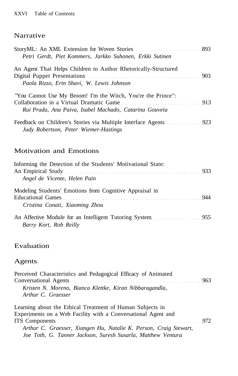#### Narrative

| Petri Gerdt, Piet Kommers, Jarkko Suhonen, Erkki Sutinen                                                                                                           |  |
|--------------------------------------------------------------------------------------------------------------------------------------------------------------------|--|
| An Agent That Helps Children to Author Rhetorically-Structured<br>Paola Rizzo, Erin Shavi, W. Lewis Johnson                                                        |  |
| "You Cannot Use My Broom! I'm the Witch, You're the Prince":<br>Collaboration in a Virtual Dramatic Game<br>Rui Prada, Ana Paiva, Isabel Machado, Catarina Gouveia |  |
| Judy Robertson, Peter Wiemer-Hastings                                                                                                                              |  |

#### Motivation and Emotions

| Informing the Detection of the Students' Motivational State:                                                                                                                                                                   |  |
|--------------------------------------------------------------------------------------------------------------------------------------------------------------------------------------------------------------------------------|--|
| An Empirical Study entertainment and the study of the study of the study of the study of the study of the study of the study of the study of the study of the study of the study of the study of the study of the study of the |  |
| Angel de Vicente, Helen Pain                                                                                                                                                                                                   |  |
| Modeling Students' Emotions from Cognitive Appraisal in                                                                                                                                                                        |  |
| Educational Games expansion of the contract of the contract of the contract of the contract of the contract of the contract of the contract of the contract of the contract of the contract of the contract of the contract of |  |
| Cristina Conati, Xiaoming Zhou                                                                                                                                                                                                 |  |
|                                                                                                                                                                                                                                |  |
| Barry Kort, Rob Reilly                                                                                                                                                                                                         |  |

#### Evaluation

#### Agents

| Perceived Characteristics and Pedagogical Efficacy of Animated    |
|-------------------------------------------------------------------|
|                                                                   |
| Kristen N. Moreno, Bianca Klettke, Kiran Nibbaragandla,           |
| Arthur C. Graesser                                                |
| Learning about the Ethical Treatment of Human Subjects in         |
| Experiments on a Web Facility with a Conversational Agent and     |
|                                                                   |
| Arthur C. Graesser, Xiangen Hu, Natalie K. Person, Craig Stewart, |
| Joe Toth, G. Tanner Jackson, Suresh Susarla, Matthew Ventura      |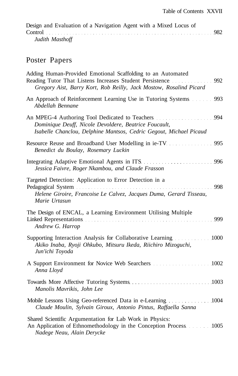| Design and Evaluation of a Navigation Agent with a Mixed Locus of |  |
|-------------------------------------------------------------------|--|
|                                                                   |  |
| Judith Masthoff                                                   |  |

# Poster Papers

| Adding Human-Provided Emotional Scaffolding to an Automated<br>Reading Tutor That Listens Increases Student Persistence 992<br>Gregory Aist, Barry Kort, Rob Reilly, Jack Mostow, Rosalind Picard                                                                                                                    |
|----------------------------------------------------------------------------------------------------------------------------------------------------------------------------------------------------------------------------------------------------------------------------------------------------------------------|
| An Approach of Reinforcement Learning Use in Tutoring Systems 993<br>Abdellah Bennane                                                                                                                                                                                                                                |
| An MPEG-4 Authoring Tool Dedicated to Teachers <b>Example 10 Set 10 Authoring</b> 100 Au<br>Dominique Deuff, Nicole Devoldere, Beatrice Foucault,<br>Isabelle Chanclou, Delphine Mantsos, Cedric Gegout, Michael Picaud                                                                                              |
| Resource Reuse and Broadband User Modelling in ie-TV. 1995<br>Benedict du Boulay, Rosemary Luckin                                                                                                                                                                                                                    |
| Integrating Adaptive Emotional Agents in ITS.<br>Jessica Faivre, Roger Nkambou, and Claude Frasson                                                                                                                                                                                                                   |
| Targeted Detection: Application to Error Detection in a<br>Helene Giroire, Francoise Le Calvez, Jacques Duma, Gerard Tisseau,<br>Marie Urtasun                                                                                                                                                                       |
| The Design of ENCAL, a Learning Environment Utilising Multiple<br>Linked Representations entertainment and the state of the state of the state of the state of the state of the state of the state of the state of the state of the state of the state of the state of the state of the state of<br>Andrew G. Harrop |
| Supporting Interaction Analysis for Collaborative Learning 1000<br>Akiko Inaba, Ryoji Ohkubo, Mitsuru Ikeda, Riichiro Mizoguchi,<br>Jun'ichi Toyoda                                                                                                                                                                  |
| Anna Lloyd                                                                                                                                                                                                                                                                                                           |
| Manolis Mavrikis, John Lee                                                                                                                                                                                                                                                                                           |
| Mobile Lessons Using Geo-referenced Data in e-Learning 1004<br>Claude Moulin, Sylvain Giroux, Antonio Pintus, Raffaella Sanna                                                                                                                                                                                        |
| Shared Scientific Argumentation for Lab Work in Physics:<br>An Application of Ethnomethodology in the Conception Process 1005<br>Nadege Neau, Alain Derycke                                                                                                                                                          |